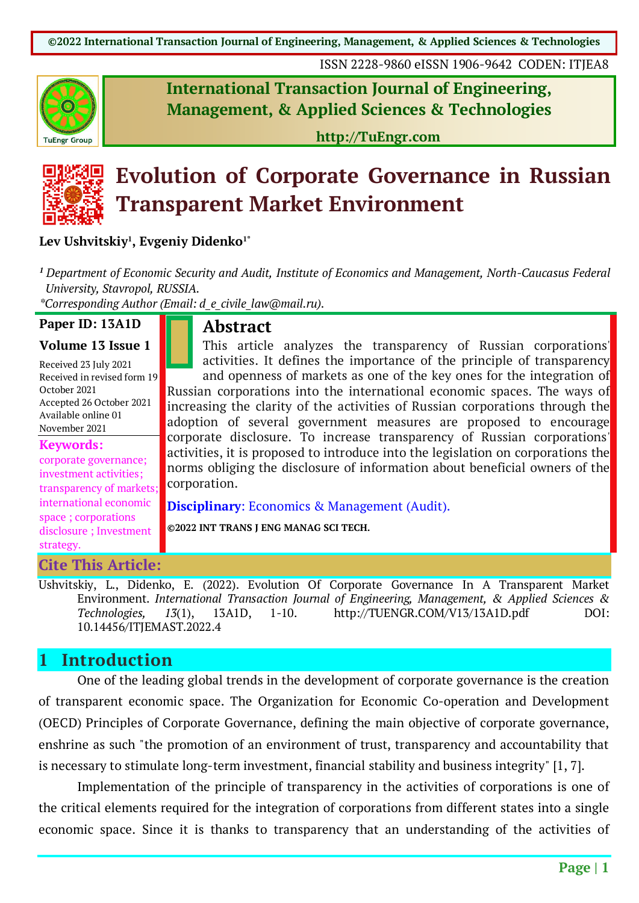ISSN 2228-9860 eISSN 1906-9642 CODEN: ITJEA8



**International Transaction Journal of Engineering, Management, & Applied Sciences & Technologies**

**http://TuEngr.com**



# **Evolution of Corporate Governance in Russian Transparent Market Environment**

#### **Lev Ushvitskiy1 , Evgeniy Didenko1\***

*<sup>1</sup> Department of Economic Security and Audit, Institute of Economics and Management, North-Caucasus Federal University, Stavropol, RUSSIA.*

*\*Corresponding Author (Email: d\_e\_civile\_law@mail.ru).*

#### **Paper ID: 13A1D Volume 13 Issue 1**

# **Abstract**

Received 23 July 2021 Received in revised form 19 October 2021 Accepted 26 October 2021 Available online 01 November 2021

**Keywords:** corporate governance; investment activities; transparency of markets; international economic space ; corporations disclosure ; Investment strategy.

**Cite This Article:**

This article analyzes the transparency of Russian corporations' activities. It defines the importance of the principle of transparency and openness of markets as one of the key ones for the integration of Russian corporations into the international economic spaces. The ways of increasing the clarity of the activities of Russian corporations through the adoption of several government measures are proposed to encourage corporate disclosure. To increase transparency of Russian corporations' activities, it is proposed to introduce into the legislation on corporations the norms obliging the disclosure of information about beneficial owners of the corporation.

**Disciplinary**: Economics & Management (Audit).

**©2022 INT TRANS J ENG MANAG SCI TECH.**

Ushvitskiy, L., Didenko, E. (2022). Evolution Of Corporate Governance In A Transparent Market Environment. *International Transaction Journal of Engineering, Management, & Applied Sciences & Technologies, 13*(1), 13A1D, 1-10. http://TUENGR.COM/V13/13A1D.pdf DOI: 10.14456/ITJEMAST.2022.4

### **1 Introduction**

One of the leading global trends in the development of corporate governance is the creation of transparent economic space. The Organization for Economic Co-operation and Development (OECD) Principles of Corporate Governance, defining the main objective of corporate governance, enshrine as such "the promotion of an environment of trust, transparency and accountability that is necessary to stimulate long-term investment, financial stability and business integrity" [1, 7].

Implementation of the principle of transparency in the activities of corporations is one of the critical elements required for the integration of corporations from different states into a single economic space. Since it is thanks to transparency that an understanding of the activities of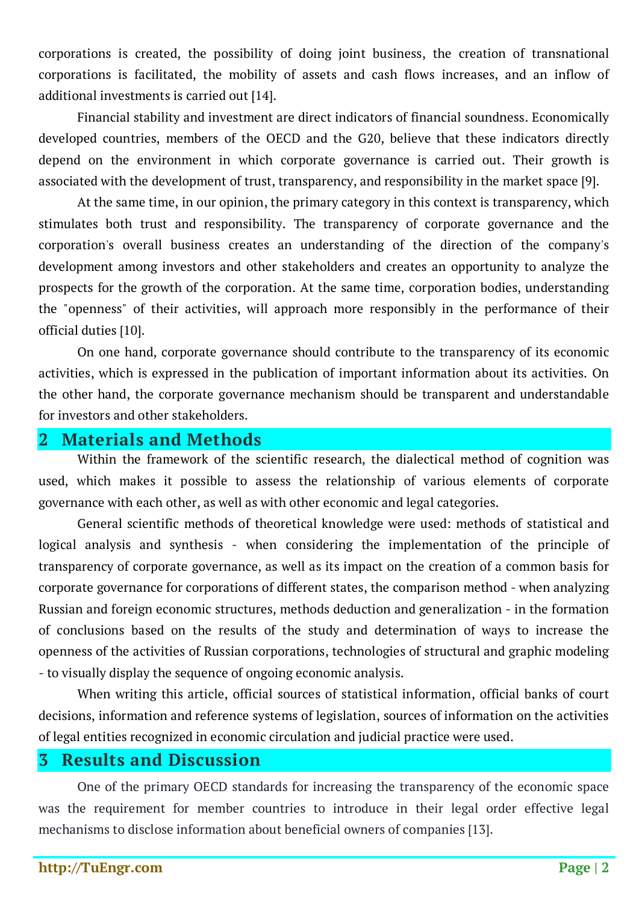corporations is created, the possibility of doing joint business, the creation of transnational corporations is facilitated, the mobility of assets and cash flows increases, and an inflow of additional investments is carried out [14].

Financial stability and investment are direct indicators of financial soundness. Economically developed countries, members of the OECD and the G20, believe that these indicators directly depend on the environment in which corporate governance is carried out. Their growth is associated with the development of trust, transparency, and responsibility in the market space [9].

At the same time, in our opinion, the primary category in this context is transparency, which stimulates both trust and responsibility. The transparency of corporate governance and the corporation's overall business creates an understanding of the direction of the company's development among investors and other stakeholders and creates an opportunity to analyze the prospects for the growth of the corporation. At the same time, corporation bodies, understanding the "openness" of their activities, will approach more responsibly in the performance of their official duties [10].

On one hand, corporate governance should contribute to the transparency of its economic activities, which is expressed in the publication of important information about its activities. On the other hand, the corporate governance mechanism should be transparent and understandable for investors and other stakeholders.

#### **2 Materials and Methods**

Within the framework of the scientific research, the dialectical method of cognition was used, which makes it possible to assess the relationship of various elements of corporate governance with each other, as well as with other economic and legal categories.

General scientific methods of theoretical knowledge were used: methods of statistical and logical analysis and synthesis - when considering the implementation of the principle of transparency of corporate governance, as well as its impact on the creation of a common basis for corporate governance for corporations of different states, the comparison method - when analyzing Russian and foreign economic structures, methods deduction and generalization - in the formation of conclusions based on the results of the study and determination of ways to increase the openness of the activities of Russian corporations, technologies of structural and graphic modeling - to visually display the sequence of ongoing economic analysis.

When writing this article, official sources of statistical information, official banks of court decisions, information and reference systems of legislation, sources of information on the activities of legal entities recognized in economic circulation and judicial practice were used.

## **3 Results and Discussion**

One of the primary OECD standards for increasing the transparency of the economic space was the requirement for member countries to introduce in their legal order effective legal mechanisms to disclose information about beneficial owners of companies [13].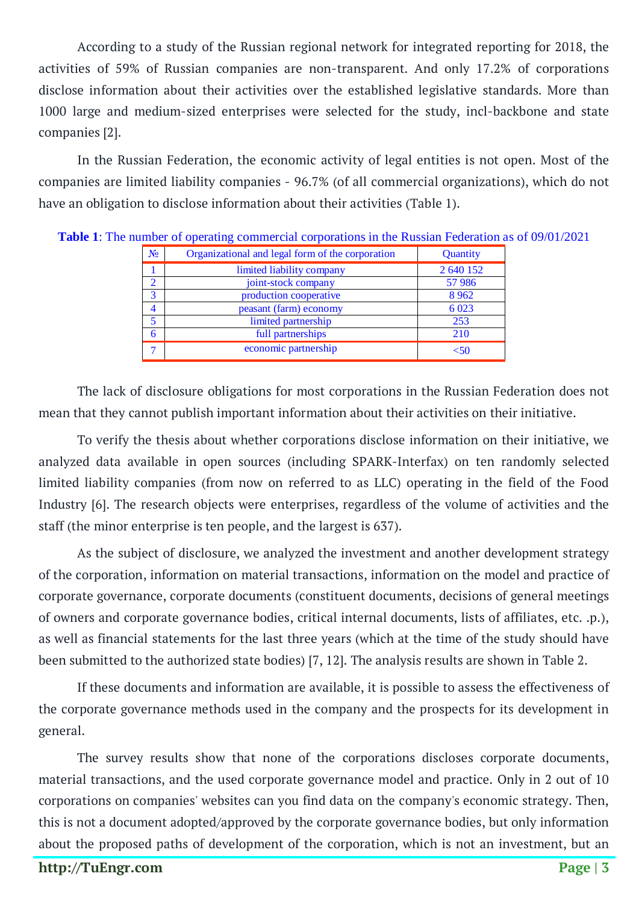According to a study of the Russian regional network for integrated reporting for 2018, the activities of 59% of Russian companies are non-transparent. And only 17.2% of corporations disclose information about their activities over the established legislative standards. More than 1000 large and medium-sized enterprises were selected for the study, incl-backbone and state companies [2].

In the Russian Federation, the economic activity of legal entities is not open. Most of the companies are limited liability companies - 96.7% (of all commercial organizations), which do not have an obligation to disclose information about their activities (Table 1).

| N <sub>0</sub> | Organizational and legal form of the corporation | Quantity  |
|----------------|--------------------------------------------------|-----------|
|                | limited liability company                        | 2 640 152 |
| $\mathcal{D}$  | joint-stock company                              | 57 986    |
| 3              | production cooperative                           | 8 9 6 2   |
| $\overline{4}$ | peasant (farm) economy                           | 6 0 23    |
| 5              | limited partnership                              | 253       |
| 6              | full partnerships                                | 210       |
|                | economic partnership                             | 5۸/       |

**Table 1**: The number of operating commercial corporations in the Russian Federation as of 09/01/2021

The lack of disclosure obligations for most corporations in the Russian Federation does not mean that they cannot publish important information about their activities on their initiative.

To verify the thesis about whether corporations disclose information on their initiative, we analyzed data available in open sources (including SPARK-Interfax) on ten randomly selected limited liability companies (from now on referred to as LLC) operating in the field of the Food Industry [6]. The research objects were enterprises, regardless of the volume of activities and the staff (the minor enterprise is ten people, and the largest is 637).

As the subject of disclosure, we analyzed the investment and another development strategy of the corporation, information on material transactions, information on the model and practice of corporate governance, corporate documents (constituent documents, decisions of general meetings of owners and corporate governance bodies, critical internal documents, lists of affiliates, etc. .p.), as well as financial statements for the last three years (which at the time of the study should have been submitted to the authorized state bodies) [7, 12]. The analysis results are shown in Table 2.

If these documents and information are available, it is possible to assess the effectiveness of the corporate governance methods used in the company and the prospects for its development in general.

The survey results show that none of the corporations discloses corporate documents, material transactions, and the used corporate governance model and practice. Only in 2 out of 10 corporations on companies' websites can you find data on the company's economic strategy. Then, this is not a document adopted/approved by the corporate governance bodies, but only information about the proposed paths of development of the corporation, which is not an investment, but an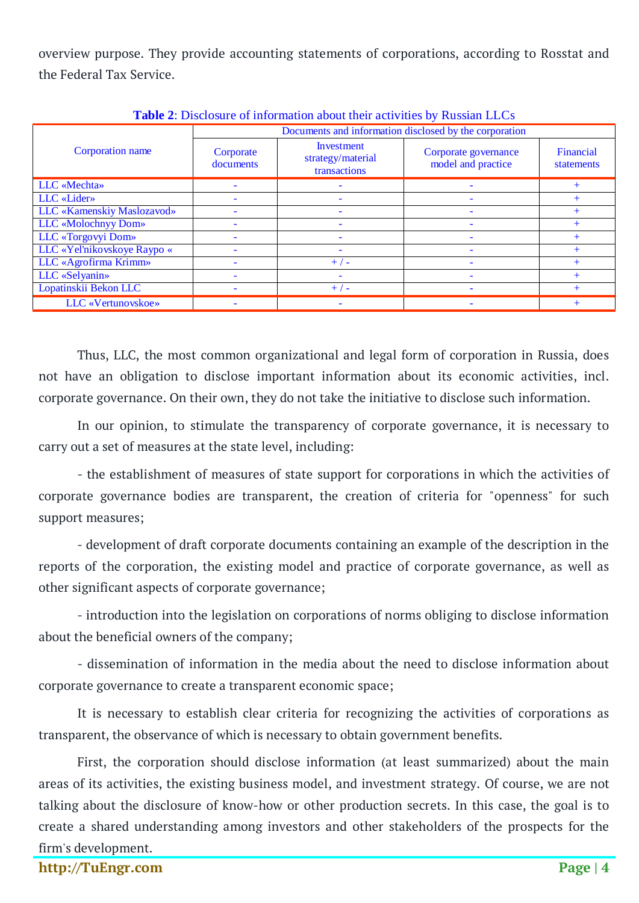overview purpose. They provide accounting statements of corporations, according to Rosstat and the Federal Tax Service.

| <b>THOICE.</b> Disclosure of information about their activities by inassian EECs |                                                        |                                                 |                                            |                         |  |  |  |
|----------------------------------------------------------------------------------|--------------------------------------------------------|-------------------------------------------------|--------------------------------------------|-------------------------|--|--|--|
|                                                                                  | Documents and information disclosed by the corporation |                                                 |                                            |                         |  |  |  |
| Corporation name                                                                 | Corporate<br>documents                                 | Investment<br>strategy/material<br>transactions | Corporate governance<br>model and practice | Financial<br>statements |  |  |  |
| LLC «Mechta»                                                                     |                                                        |                                                 |                                            |                         |  |  |  |
| LLC «Lider»                                                                      |                                                        |                                                 |                                            |                         |  |  |  |
| LLC «Kamenskiy Maslozavod»                                                       |                                                        |                                                 |                                            |                         |  |  |  |
| LLC «Molochnyy Dom»                                                              |                                                        |                                                 | $\overline{\phantom{0}}$                   |                         |  |  |  |
| LLC «Torgovyi Dom»                                                               |                                                        |                                                 |                                            |                         |  |  |  |
| LLC «Yel'nikovskoye Raypo «                                                      |                                                        |                                                 |                                            |                         |  |  |  |
| LLC «Agrofirma Krimm»                                                            |                                                        | $+/-$                                           |                                            |                         |  |  |  |
| LLC «Selyanin»                                                                   |                                                        |                                                 |                                            |                         |  |  |  |
| Lopatinskii Bekon LLC                                                            |                                                        | $+/-$                                           |                                            |                         |  |  |  |
| LLC «Vertunovskoe»                                                               |                                                        |                                                 |                                            |                         |  |  |  |

**Table 2**: Disclosure of information about their activities by Russian LLCs

Thus, LLC, the most common organizational and legal form of corporation in Russia, does not have an obligation to disclose important information about its economic activities, incl. corporate governance. On their own, they do not take the initiative to disclose such information.

In our opinion, to stimulate the transparency of corporate governance, it is necessary to carry out a set of measures at the state level, including:

- the establishment of measures of state support for corporations in which the activities of corporate governance bodies are transparent, the creation of criteria for "openness" for such support measures;

- development of draft corporate documents containing an example of the description in the reports of the corporation, the existing model and practice of corporate governance, as well as other significant aspects of corporate governance;

- introduction into the legislation on corporations of norms obliging to disclose information about the beneficial owners of the company;

- dissemination of information in the media about the need to disclose information about corporate governance to create a transparent economic space;

It is necessary to establish clear criteria for recognizing the activities of corporations as transparent, the observance of which is necessary to obtain government benefits.

First, the corporation should disclose information (at least summarized) about the main areas of its activities, the existing business model, and investment strategy. Of course, we are not talking about the disclosure of know-how or other production secrets. In this case, the goal is to create a shared understanding among investors and other stakeholders of the prospects for the firm's development.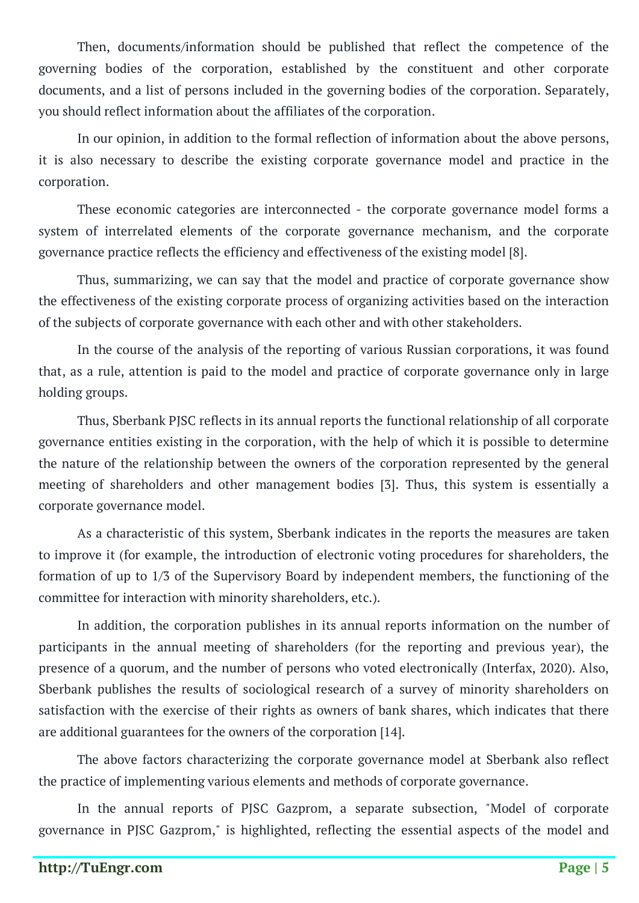Then, documents/information should be published that reflect the competence of the governing bodies of the corporation, established by the constituent and other corporate documents, and a list of persons included in the governing bodies of the corporation. Separately, you should reflect information about the affiliates of the corporation.

In our opinion, in addition to the formal reflection of information about the above persons, it is also necessary to describe the existing corporate governance model and practice in the corporation.

These economic categories are interconnected - the corporate governance model forms a system of interrelated elements of the corporate governance mechanism, and the corporate governance practice reflects the efficiency and effectiveness of the existing model [8].

Thus, summarizing, we can say that the model and practice of corporate governance show the effectiveness of the existing corporate process of organizing activities based on the interaction of the subjects of corporate governance with each other and with other stakeholders.

In the course of the analysis of the reporting of various Russian corporations, it was found that, as a rule, attention is paid to the model and practice of corporate governance only in large holding groups.

Thus, Sberbank PJSC reflects in its annual reports the functional relationship of all corporate governance entities existing in the corporation, with the help of which it is possible to determine the nature of the relationship between the owners of the corporation represented by the general meeting of shareholders and other management bodies [3]. Thus, this system is essentially a corporate governance model.

As a characteristic of this system, Sberbank indicates in the reports the measures are taken to improve it (for example, the introduction of electronic voting procedures for shareholders, the formation of up to 1/3 of the Supervisory Board by independent members, the functioning of the committee for interaction with minority shareholders, etc.).

In addition, the corporation publishes in its annual reports information on the number of participants in the annual meeting of shareholders (for the reporting and previous year), the presence of a quorum, and the number of persons who voted electronically (Interfax, 2020). Also, Sberbank publishes the results of sociological research of a survey of minority shareholders on satisfaction with the exercise of their rights as owners of bank shares, which indicates that there are additional guarantees for the owners of the corporation [14].

The above factors characterizing the corporate governance model at Sberbank also reflect the practice of implementing various elements and methods of corporate governance.

In the annual reports of PJSC Gazprom, a separate subsection, "Model of corporate governance in PJSC Gazprom," is highlighted, reflecting the essential aspects of the model and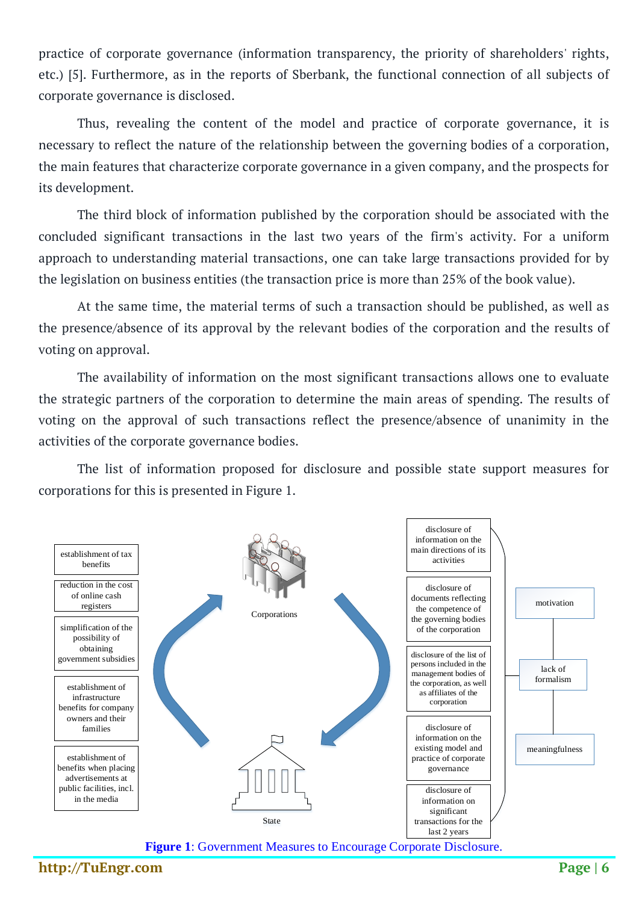practice of corporate governance (information transparency, the priority of shareholders' rights, etc.) [5]. Furthermore, as in the reports of Sberbank, the functional connection of all subjects of corporate governance is disclosed.

Thus, revealing the content of the model and practice of corporate governance, it is necessary to reflect the nature of the relationship between the governing bodies of a corporation, the main features that characterize corporate governance in a given company, and the prospects for its development.

The third block of information published by the corporation should be associated with the concluded significant transactions in the last two years of the firm's activity. For a uniform approach to understanding material transactions, one can take large transactions provided for by the legislation on business entities (the transaction price is more than 25% of the book value).

At the same time, the material terms of such a transaction should be published, as well as the presence/absence of its approval by the relevant bodies of the corporation and the results of voting on approval.

The availability of information on the most significant transactions allows one to evaluate the strategic partners of the corporation to determine the main areas of spending. The results of voting on the approval of such transactions reflect the presence/absence of unanimity in the activities of the corporate governance bodies.

The list of information proposed for disclosure and possible state support measures for corporations for this is presented in Figure 1.



**Figure 1**: Government Measures to Encourage Corporate Disclosure.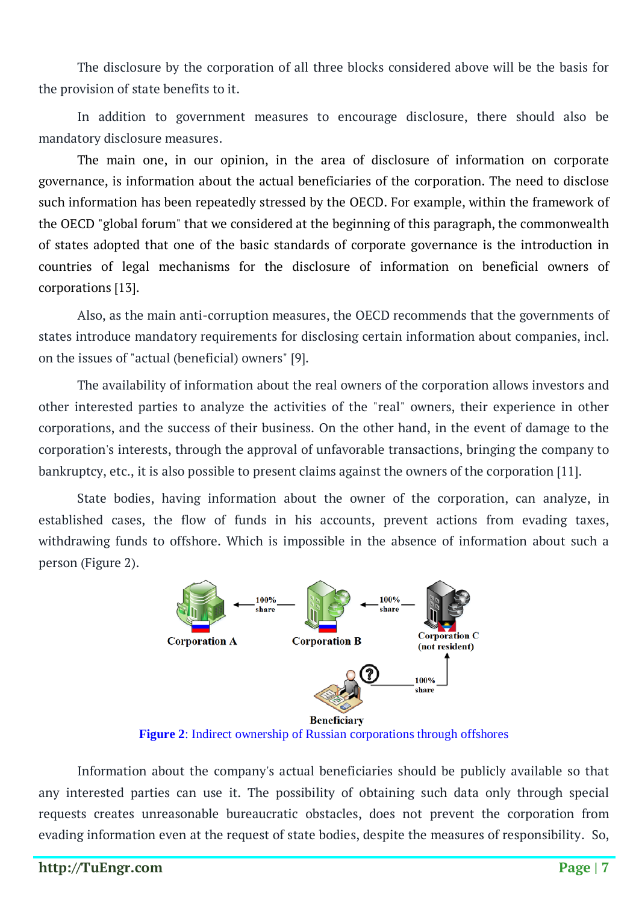The disclosure by the corporation of all three blocks considered above will be the basis for the provision of state benefits to it.

In addition to government measures to encourage disclosure, there should also be mandatory disclosure measures.

The main one, in our opinion, in the area of disclosure of information on corporate governance, is information about the actual beneficiaries of the corporation. The need to disclose such information has been repeatedly stressed by the OECD. For example, within the framework of the OECD "global forum" that we considered at the beginning of this paragraph, the commonwealth of states adopted that one of the basic standards of corporate governance is the introduction in countries of legal mechanisms for the disclosure of information on beneficial owners of corporations [13].

Also, as the main anti-corruption measures, the OECD recommends that the governments of states introduce mandatory requirements for disclosing certain information about companies, incl. on the issues of "actual (beneficial) owners" [9].

The availability of information about the real owners of the corporation allows investors and other interested parties to analyze the activities of the "real" owners, their experience in other corporations, and the success of their business. On the other hand, in the event of damage to the corporation's interests, through the approval of unfavorable transactions, bringing the company to bankruptcy, etc., it is also possible to present claims against the owners of the corporation [11].

State bodies, having information about the owner of the corporation, can analyze, in established cases, the flow of funds in his accounts, prevent actions from evading taxes, withdrawing funds to offshore. Which is impossible in the absence of information about such a person (Figure 2).



**Figure 2**: Indirect ownership of Russian corporations through offshores

Information about the company's actual beneficiaries should be publicly available so that any interested parties can use it. The possibility of obtaining such data only through special requests creates unreasonable bureaucratic obstacles, does not prevent the corporation from evading information even at the request of state bodies, despite the measures of responsibility. So,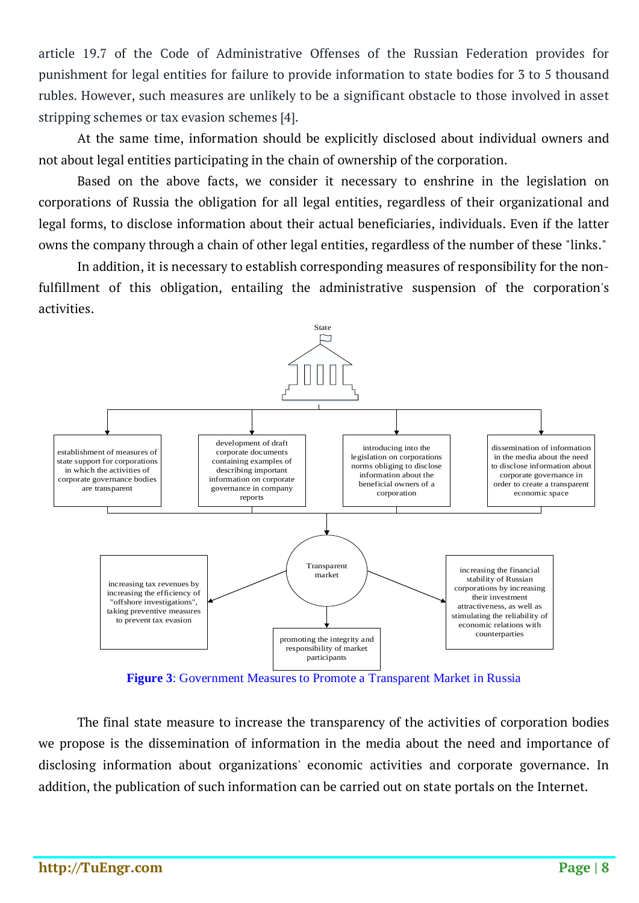article 19.7 of the Code of Administrative Offenses of the Russian Federation provides for punishment for legal entities for failure to provide information to state bodies for 3 to 5 thousand rubles. However, such measures are unlikely to be a significant obstacle to those involved in asset stripping schemes or tax evasion schemes [4].

At the same time, information should be explicitly disclosed about individual owners and not about legal entities participating in the chain of ownership of the corporation.

Based on the above facts, we consider it necessary to enshrine in the legislation on corporations of Russia the obligation for all legal entities, regardless of their organizational and legal forms, to disclose information about their actual beneficiaries, individuals. Even if the latter owns the company through a chain of other legal entities, regardless of the number of these "links."

In addition, it is necessary to establish corresponding measures of responsibility for the nonfulfillment of this obligation, entailing the administrative suspension of the corporation's activities.



**Figure 3**: Government Measures to Promote a Transparent Market in Russia

The final state measure to increase the transparency of the activities of corporation bodies we propose is the dissemination of information in the media about the need and importance of disclosing information about organizations' economic activities and corporate governance. In addition, the publication of such information can be carried out on state portals on the Internet.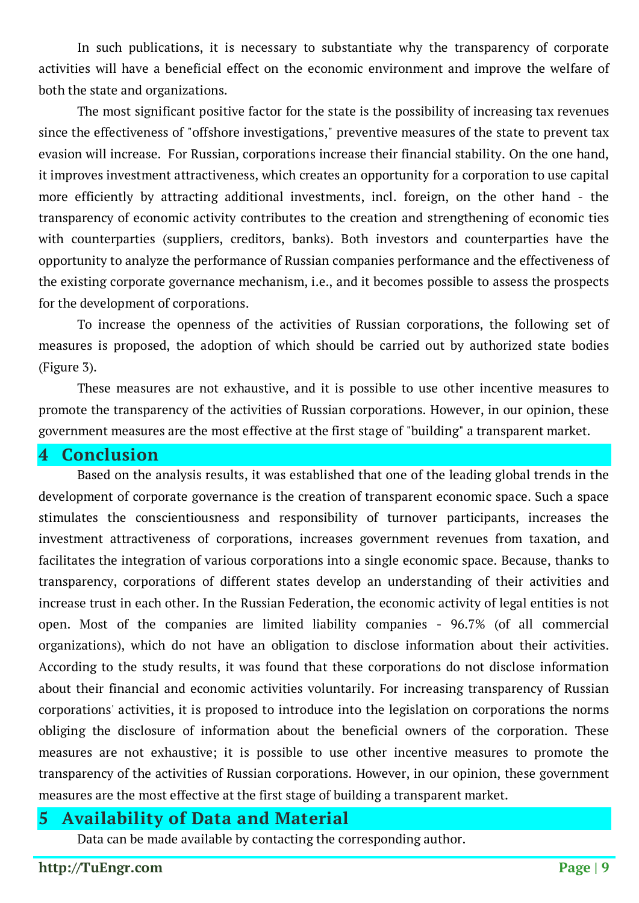In such publications, it is necessary to substantiate why the transparency of corporate activities will have a beneficial effect on the economic environment and improve the welfare of both the state and organizations.

The most significant positive factor for the state is the possibility of increasing tax revenues since the effectiveness of "offshore investigations," preventive measures of the state to prevent tax evasion will increase. For Russian, corporations increase their financial stability. On the one hand, it improves investment attractiveness, which creates an opportunity for a corporation to use capital more efficiently by attracting additional investments, incl. foreign, on the other hand - the transparency of economic activity contributes to the creation and strengthening of economic ties with counterparties (suppliers, creditors, banks). Both investors and counterparties have the opportunity to analyze the performance of Russian companies performance and the effectiveness of the existing corporate governance mechanism, i.e., and it becomes possible to assess the prospects for the development of corporations.

To increase the openness of the activities of Russian corporations, the following set of measures is proposed, the adoption of which should be carried out by authorized state bodies (Figure 3).

These measures are not exhaustive, and it is possible to use other incentive measures to promote the transparency of the activities of Russian corporations. However, in our opinion, these government measures are the most effective at the first stage of "building" a transparent market.

**4 Conclusion**

Based on the analysis results, it was established that one of the leading global trends in the development of corporate governance is the creation of transparent economic space. Such a space stimulates the conscientiousness and responsibility of turnover participants, increases the investment attractiveness of corporations, increases government revenues from taxation, and facilitates the integration of various corporations into a single economic space. Because, thanks to transparency, corporations of different states develop an understanding of their activities and increase trust in each other. In the Russian Federation, the economic activity of legal entities is not open. Most of the companies are limited liability companies - 96.7% (of all commercial organizations), which do not have an obligation to disclose information about their activities. According to the study results, it was found that these corporations do not disclose information about their financial and economic activities voluntarily. For increasing transparency of Russian corporations' activities, it is proposed to introduce into the legislation on corporations the norms obliging the disclosure of information about the beneficial owners of the corporation. These measures are not exhaustive; it is possible to use other incentive measures to promote the transparency of the activities of Russian corporations. However, in our opinion, these government measures are the most effective at the first stage of building a transparent market.

### **5 Availability of Data and Material**

Data can be made available by contacting the corresponding author.